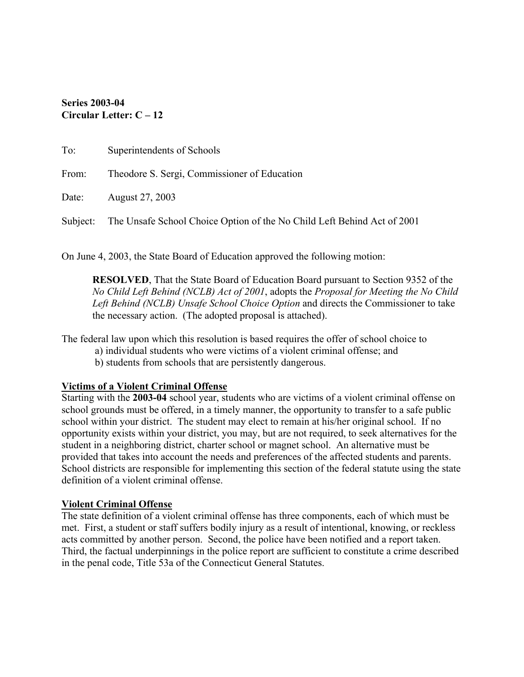## **Series 2003-04 Circular Letter: C – 12**

| To:   | Superintendents of Schools                                                       |
|-------|----------------------------------------------------------------------------------|
| From: | Theodore S. Sergi, Commissioner of Education                                     |
|       | Date: August 27, 2003                                                            |
|       | Subject: The Unsafe School Choice Option of the No Child Left Behind Act of 2001 |

On June 4, 2003, the State Board of Education approved the following motion:

**RESOLVED**, That the State Board of Education Board pursuant to Section 9352 of the *No Child Left Behind (NCLB) Act of 2001*, adopts the *Proposal for Meeting the No Child Left Behind (NCLB) Unsafe School Choice Option* and directs the Commissioner to take the necessary action. (The adopted proposal is attached).

The federal law upon which this resolution is based requires the offer of school choice to

- a) individual students who were victims of a violent criminal offense; and
	- b) students from schools that are persistently dangerous.

#### **Victims of a Violent Criminal Offense**

Starting with the **2003-04** school year, students who are victims of a violent criminal offense on school grounds must be offered, in a timely manner, the opportunity to transfer to a safe public school within your district. The student may elect to remain at his/her original school. If no opportunity exists within your district, you may, but are not required, to seek alternatives for the student in a neighboring district, charter school or magnet school. An alternative must be provided that takes into account the needs and preferences of the affected students and parents. School districts are responsible for implementing this section of the federal statute using the state definition of a violent criminal offense.

#### **Violent Criminal Offense**

The state definition of a violent criminal offense has three components, each of which must be met. First, a student or staff suffers bodily injury as a result of intentional, knowing, or reckless acts committed by another person. Second, the police have been notified and a report taken. Third, the factual underpinnings in the police report are sufficient to constitute a crime described in the penal code, Title 53a of the Connecticut General Statutes.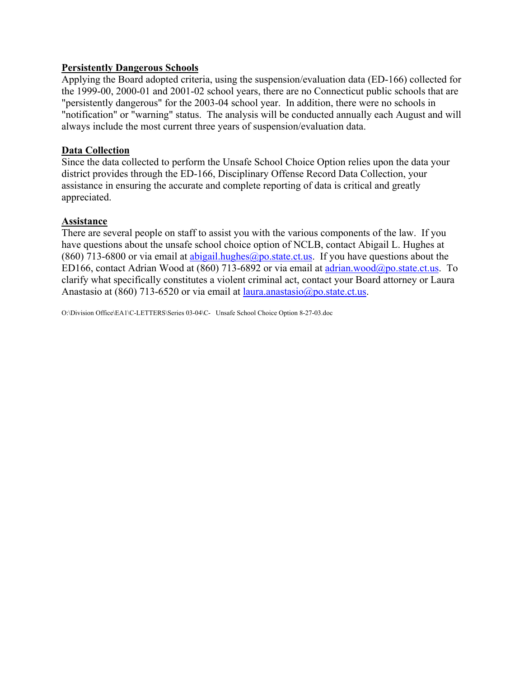### **Persistently Dangerous Schools**

Applying the Board adopted criteria, using the suspension/evaluation data (ED-166) collected for the 1999-00, 2000-01 and 2001-02 school years, there are no Connecticut public schools that are "persistently dangerous" for the 2003-04 school year. In addition, there were no schools in "notification" or "warning" status. The analysis will be conducted annually each August and will always include the most current three years of suspension/evaluation data.

### **Data Collection**

Since the data collected to perform the Unsafe School Choice Option relies upon the data your district provides through the ED-166, Disciplinary Offense Record Data Collection, your assistance in ensuring the accurate and complete reporting of data is critical and greatly appreciated.

### **Assistance**

There are several people on staff to assist you with the various components of the law. If you have questions about the unsafe school choice option of NCLB, contact Abigail L. Hughes at (860) 713-6800 or via email at abigail.hughes@po.state.ct.us. If you have questions about the ED166, contact Adrian Wood at (860) 713-6892 or via email at adrian.wood@po.state.ct.us. To clarify what specifically constitutes a violent criminal act, contact your Board attorney or Laura Anastasio at (860) 713-6520 or via email at laura.anastasio@po.state.ct.us.

O:\Division Office\EA1\C-LETTERS\Series 03-04\C- Unsafe School Choice Option 8-27-03.doc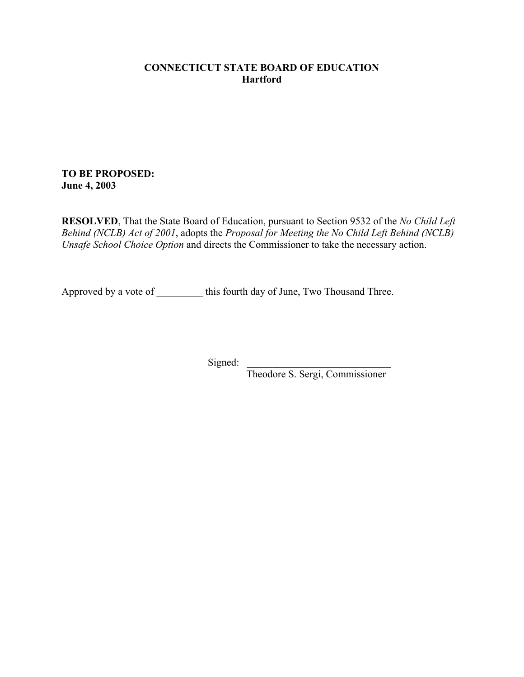### **CONNECTICUT STATE BOARD OF EDUCATION Hartford**

### **TO BE PROPOSED: June 4, 2003**

**RESOLVED**, That the State Board of Education, pursuant to Section 9532 of the *No Child Left Behind (NCLB) Act of 2001*, adopts the *Proposal for Meeting the No Child Left Behind (NCLB) Unsafe School Choice Option* and directs the Commissioner to take the necessary action.

Approved by a vote of this fourth day of June, Two Thousand Three.

Signed:

Theodore S. Sergi, Commissioner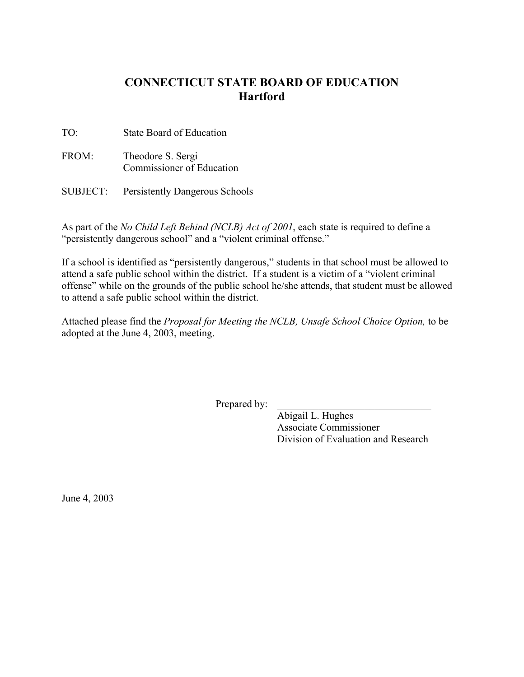## **CONNECTICUT STATE BOARD OF EDUCATION Hartford**

TO: State Board of Education

- FROM: Theodore S. Sergi Commissioner of Education
- SUBJECT: Persistently Dangerous Schools

As part of the *No Child Left Behind (NCLB) Act of 2001*, each state is required to define a "persistently dangerous school" and a "violent criminal offense."

If a school is identified as "persistently dangerous," students in that school must be allowed to attend a safe public school within the district. If a student is a victim of a "violent criminal offense" while on the grounds of the public school he/she attends, that student must be allowed to attend a safe public school within the district.

Attached please find the *Proposal for Meeting the NCLB, Unsafe School Choice Option,* to be adopted at the June 4, 2003, meeting.

Prepared by:

Abigail L. Hughes Associate Commissioner Division of Evaluation and Research

June 4, 2003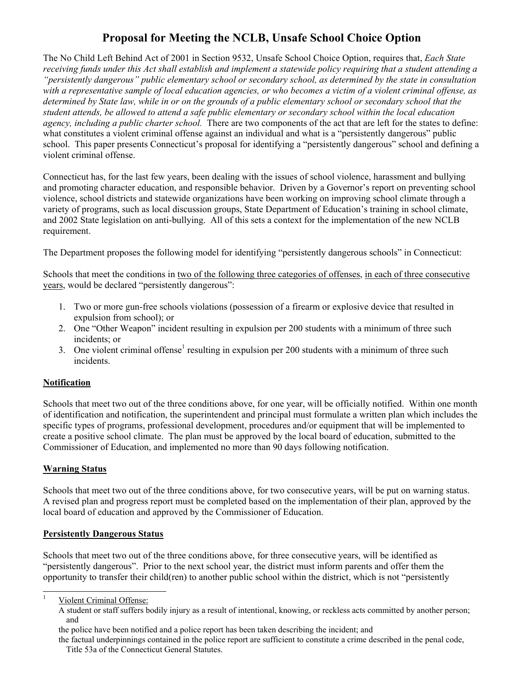# **Proposal for Meeting the NCLB, Unsafe School Choice Option**

The No Child Left Behind Act of 2001 in Section 9532, Unsafe School Choice Option, requires that, *Each State receiving funds under this Act shall establish and implement a statewide policy requiring that a student attending a "persistently dangerous" public elementary school or secondary school, as determined by the state in consultation with a representative sample of local education agencies, or who becomes a victim of a violent criminal offense, as determined by State law, while in or on the grounds of a public elementary school or secondary school that the student attends, be allowed to attend a safe public elementary or secondary school within the local education agency, including a public charter school.* There are two components of the act that are left for the states to define: what constitutes a violent criminal offense against an individual and what is a "persistently dangerous" public school. This paper presents Connecticut's proposal for identifying a "persistently dangerous" school and defining a violent criminal offense.

Connecticut has, for the last few years, been dealing with the issues of school violence, harassment and bullying and promoting character education, and responsible behavior. Driven by a Governor's report on preventing school violence, school districts and statewide organizations have been working on improving school climate through a variety of programs, such as local discussion groups, State Department of Education's training in school climate, and 2002 State legislation on anti-bullying. All of this sets a context for the implementation of the new NCLB requirement.

The Department proposes the following model for identifying "persistently dangerous schools" in Connecticut:

Schools that meet the conditions in two of the following three categories of offenses, in each of three consecutive years, would be declared "persistently dangerous":

- 1. Two or more gun-free schools violations (possession of a firearm or explosive device that resulted in expulsion from school); or
- 2. One "Other Weapon" incident resulting in expulsion per 200 students with a minimum of three such incidents; or
- 3. One violent criminal offense<sup>1</sup> resulting in expulsion per 200 students with a minimum of three such incidents.

#### **Notification**

Schools that meet two out of the three conditions above, for one year, will be officially notified. Within one month of identification and notification, the superintendent and principal must formulate a written plan which includes the specific types of programs, professional development, procedures and/or equipment that will be implemented to create a positive school climate. The plan must be approved by the local board of education, submitted to the Commissioner of Education, and implemented no more than 90 days following notification.

#### **Warning Status**

Schools that meet two out of the three conditions above, for two consecutive years, will be put on warning status. A revised plan and progress report must be completed based on the implementation of their plan, approved by the local board of education and approved by the Commissioner of Education.

#### **Persistently Dangerous Status**

Schools that meet two out of the three conditions above, for three consecutive years, will be identified as "persistently dangerous". Prior to the next school year, the district must inform parents and offer them the opportunity to transfer their child(ren) to another public school within the district, which is not "persistently

Violent Criminal Offense:

A student or staff suffers bodily injury as a result of intentional, knowing, or reckless acts committed by another person; and

the police have been notified and a police report has been taken describing the incident; and

the factual underpinnings contained in the police report are sufficient to constitute a crime described in the penal code, Title 53a of the Connecticut General Statutes.